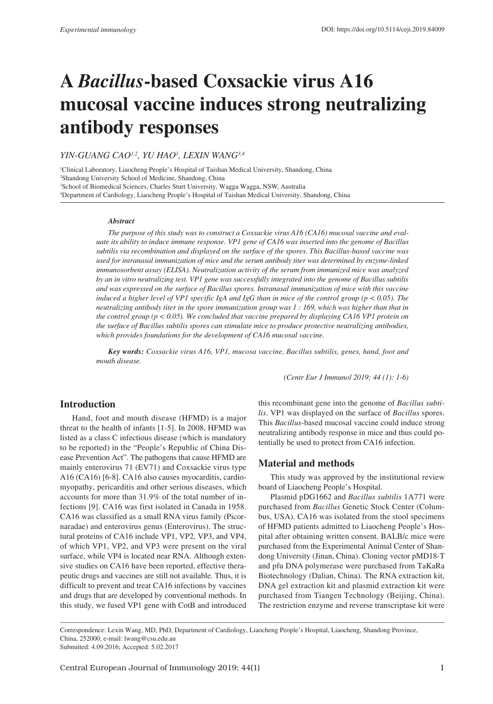# **A** *Bacillus***-based Coxsackie virus A16 mucosal vaccine induces strong neutralizing antibody responses**

# *YIN-GUANG CAO1,2, YU HAO1 , LEXIN WANG3,4*

 Clinical Laboratory, Liaocheng People's Hospital of Taishan Medical University, Shandong, China Shandong University School of Medicine, Shandong, China School of Biomedical Sciences, Charles Sturt University, Wagga Wagga, NSW, Australia Department of Cardiology, Liaocheng People's Hospital of Taishan Medical University, Shandong, China

#### *Abstract*

*The purpose of this study was to construct a Coxsackie virus A16 (CA16) mucosal vaccine and evaluate its ability to induce immune response. VP1 gene of CA16 was inserted into the genome of Bacillus subtilis via recombination and displayed on the surface of the spores. This Bacillus-based vaccine was used for intranasal immunization of mice and the serum antibody titer was determined by enzyme-linked immunosorbent assay (ELISA). Neutralization activity of the serum from immunized mice was analyzed by an in vitro neutralizing test. VP1 gene was successfully integrated into the genome of Bacillus subtilis and was expressed on the surface of Bacillus spores. Intranasal immunization of mice with this vaccine induced a higher level of VP1 specific IgA and IgG than in mice of the control group (p < 0.05). The neutralizing antibody titer in the spore immunization group was 1 : 169, which was higher than that in the control group (p < 0.05). We concluded that vaccine prepared by displaying CA16 VP1 protein on the surface of Bacillus subtilis spores can stimulate mice to produce protective neutralizing antibodies, which provides foundations for the development of CA16 mucosal vaccine.*

*Key words: Coxsackie virus A16, VP1, mucosa vaccine, Bacillus subtilis, genes, hand, foot and mouth disease.*

*(Centr Eur J Immunol 2019; 44 (1): 1-6)*

# **Introduction**

Hand, foot and mouth disease (HFMD) is a major threat to the health of infants [1-5]. In 2008, HFMD was listed as a class C infectious disease (which is mandatory to be reported) in the "People's Republic of China Disease Prevention Act". The pathogens that cause HFMD are mainly enterovirus 71 (EV71) and Coxsackie virus type A16 (CA16) [6-8]. CA16 also causes myocarditis, cardiomyopathy, pericarditis and other serious diseases, which accounts for more than 31.9% of the total number of infections [9]. CA16 was first isolated in Canada in 1958. CA16 was classified as a small RNA virus family (Picornaradae) and enterovirus genus (Enterovirus). The structural proteins of CA16 include VP1, VP2, VP3, and VP4, of which VP1, VP2, and VP3 were present on the viral surface, while VP4 is located near RNA. Although extensive studies on CA16 have been reported, effective therapeutic drugs and vaccines are still not available. Thus, it is difficult to prevent and treat CA16 infections by vaccines and drugs that are developed by conventional methods. In this study, we fused VP1 gene with CotB and introduced

this recombinant gene into the genome of *Bacillus subtilis*. VP1 was displayed on the surface of *Bacillus* spores. This *Bacillus*-based mucosal vaccine could induce strong neutralizing antibody response in mice and thus could potentially be used to protect from CA16 infection.

## **Material and methods**

This study was approved by the institutional review board of Liaocheng People's Hospital.

Plasmid pDG1662 and *Bacillus subtilis* 1A771 were purchased from *Bacillus* Genetic Stock Center (Columbus, USA). CA16 was isolated from the stool specimens of HFMD patients admitted to Liaocheng People's Hospital after obtaining written consent. BALB/c mice were purchased from the Experimental Animal Center of Shandong University (Jinan, China). Cloning vector pMD18-T and pfu DNA polymerase were purchased from TaKaRa Biotechnology (Dalian, China). The RNA extraction kit, DNA gel extraction kit and plasmid extraction kit were purchased from Tiangen Technology (Beijing, China). The restriction enzyme and reverse transcriptase kit were

Correspondence: Lexin Wang, MD, PhD, Department of Cardiology, Liaocheng People's Hospital, Liaocheng, Shandong Province, China, 252000, e-mail: lwang@csu.edu.au

Submitted: 4.09.2016; Accepted: 5.02.2017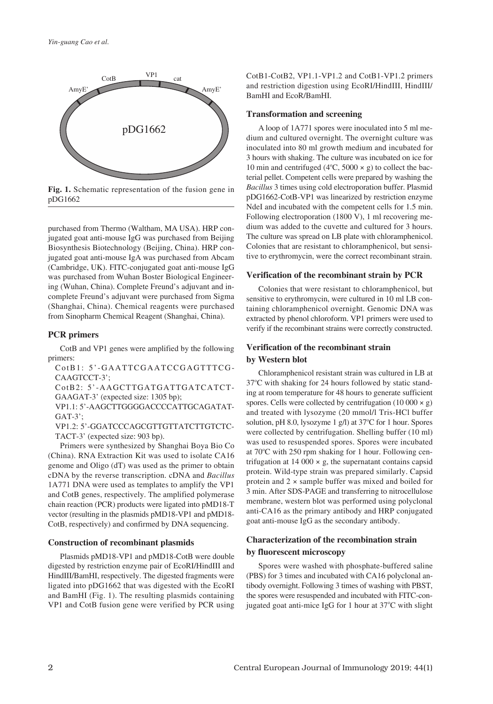

**Fig. 1.** Schematic representation of the fusion gene in pDG1662

purchased from Thermo (Waltham, MA USA). HRP conjugated goat anti-mouse IgG was purchased from Beijing Biosynthesis Biotechnology (Beijing, China). HRP conjugated goat anti-mouse IgA was purchased from Abcam (Cambridge, UK). FITC-conjugated goat anti-mouse IgG was purchased from Wuhan Boster Biological Engineering (Wuhan, China). Complete Freund's adjuvant and incomplete Freund's adjuvant were purchased from Sigma (Shanghai, China). Chemical reagents were purchased from Sinopharm Chemical Reagent (Shanghai, China).

## **PCR primers**

CotB and VP1 genes were amplified by the following primers:

- CotB1: 5'-GAATTCGAATCCGAGTTTCG-CAAGTCCT-3';
- CotB2: 5'-AAGCTTGATGATTGATCATCT-GAAGAT-3' (expected size: 1305 bp);
- VP1.1: 5'-AAGCTTGGGGACCCCATTGCAGATAT- $GAT-3$ <sup>\*</sup>;
- VP1.2: 5'-GGATCCCAGCGTTGTTATCTTGTCTC-TACT-3' (expected size: 903 bp).

Primers were synthesized by Shanghai Boya Bio Co (China). RNA Extraction Kit was used to isolate CA16 genome and Oligo (dT) was used as the primer to obtain cDNA by the reverse transcription. cDNA and *Bacillus* 1A771 DNA were used as templates to amplify the VP1 and CotB genes, respectively. The amplified polymerase chain reaction (PCR) products were ligated into pMD18-T vector (resulting in the plasmids pMD18-VP1 and pMD18- CotB, respectively) and confirmed by DNA sequencing.

## **Construction of recombinant plasmids**

Plasmids pMD18-VP1 and pMD18-CotB were double digested by restriction enzyme pair of EcoRI/HindIII and HindIII/BamHI, respectively. The digested fragments were ligated into pDG1662 that was digested with the EcoRI and BamHI (Fig. 1). The resulting plasmids containing VP1 and CotB fusion gene were verified by PCR using CotB1-CotB2, VP1.1-VP1.2 and CotB1-VP1.2 primers and restriction digestion using EcoRI/HindIII, HindIII/ BamHI and EcoR/BamHI.

#### **Transformation and screening**

A loop of 1A771 spores were inoculated into 5 ml medium and cultured overnight. The overnight culture was inoculated into 80 ml growth medium and incubated for 3 hours with shaking. The culture was incubated on ice for 10 min and centrifuged ( $4^{\circ}$ C, 5000 × g) to collect the bacterial pellet. Competent cells were prepared by washing the *Bacillus* 3 times using cold electroporation buffer. Plasmid pDG1662-CotB-VP1 was linearized by restriction enzyme NdeI and incubated with the competent cells for 1.5 min. Following electroporation (1800 V), 1 ml recovering medium was added to the cuvette and cultured for 3 hours. The culture was spread on LB plate with chloramphenicol. Colonies that are resistant to chloramphenicol, but sensitive to erythromycin, were the correct recombinant strain.

#### **Verification of the recombinant strain by PCR**

Colonies that were resistant to chloramphenicol, but sensitive to erythromycin, were cultured in 10 ml LB containing chloramphenicol overnight. Genomic DNA was extracted by phenol chloroform. VP1 primers were used to verify if the recombinant strains were correctly constructed.

# **Verification of the recombinant strain by Western blot**

Chloramphenicol resistant strain was cultured in LB at 37°C with shaking for 24 hours followed by static standing at room temperature for 48 hours to generate sufficient spores. Cells were collected by centrifugation  $(10\ 000 \times g)$ and treated with lysozyme (20 mmol/l Tris-HCl buffer solution, pH 8.0, lysozyme 1 g/l) at 37°C for 1 hour. Spores were collected by centrifugation. Shelling buffer (10 ml) was used to resuspended spores. Spores were incubated at 70°C with 250 rpm shaking for 1 hour. Following centrifugation at  $14\,000 \times g$ , the supernatant contains capsid protein. Wild-type strain was prepared similarly. Capsid protein and 2 × sample buffer was mixed and boiled for 3 min. After SDS-PAGE and transferring to nitrocellulose membrane, western blot was performed using polyclonal anti-CA16 as the primary antibody and HRP conjugated goat anti-mouse IgG as the secondary antibody.

# **Characterization of the recombination strain by fluorescent microscopy**

Spores were washed with phosphate-buffered saline (PBS) for 3 times and incubated with CA16 polyclonal antibody overnight. Following 3 times of washing with PBST, the spores were resuspended and incubated with FITC-conjugated goat anti-mice IgG for 1 hour at 37°C with slight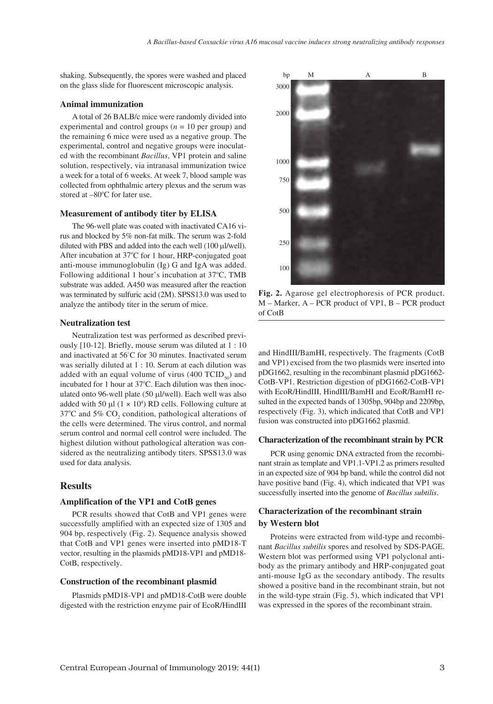shaking. Subsequently, the spores were washed and placed on the glass slide for fluorescent microscopic analysis.

## **Animal immunization**

A total of 26 BALB/c mice were randomly divided into experimental and control groups  $(n = 10$  per group) and the remaining 6 mice were used as a negative group. The experimental, control and negative groups were inoculated with the recombinant *Bacillus*, VP1 protein and saline solution, respectively, via intranasal immunization twice a week for a total of 6 weeks. At week 7, blood sample was collected from ophthalmic artery plexus and the serum was stored at -80°C for later use.

#### **Measurement of antibody titer by ELISA**

The 96-well plate was coated with inactivated CA16 virus and blocked by 5% non-fat milk. The serum was 2-fold diluted with PBS and added into the each well  $(100 \mu$ l/well). After incubation at 37°C for 1 hour, HRP-conjugated goat anti-mouse immunoglobulin (Ig) G and IgA was added. Following additional 1 hour's incubation at 37°C, TMB substrate was added. A450 was measured after the reaction was terminated by sulfuric acid (2M). SPSS13.0 was used to analyze the antibody titer in the serum of mice.

#### **Neutralization test**

Neutralization test was performed as described previously [10-12]. Briefly, mouse serum was diluted at 1 : 10 and inactivated at 56°C for 30 minutes. Inactivated serum was serially diluted at 1 : 10. Serum at each dilution was added with an equal volume of virus (400 TCID $_{50}$ ) and incubated for 1 hour at 37°C. Each dilution was then inoculated onto 96-well plate (50 ml/well). Each well was also added with 50  $\mu$ l (1 × 10<sup>4</sup>) RD cells. Following culture at 37°C and 5%  $CO_2$  condition, pathological alterations of the cells were determined. The virus control, and normal serum control and normal cell control were included. The highest dilution without pathological alteration was considered as the neutralizing antibody titers. SPSS13.0 was used for data analysis.

# **Results**

## **Amplification of the VP1 and CotB genes**

PCR results showed that CotB and VP1 genes were successfully amplified with an expected size of 1305 and 904 bp, respectively (Fig. 2). Sequence analysis showed that CotB and VP1 genes were inserted into pMD18-T vector, resulting in the plasmids pMD18-VP1 and pMD18- CotB, respectively.

#### **Construction of the recombinant plasmid**

Plasmids pMD18-VP1 and pMD18-CotB were double digested with the restriction enzyme pair of EcoR/HindIII



**Fig. 2.** Agarose gel electrophoresis of PCR product. M – Marker, A – PCR product of VP1, B – PCR product of CotB

and HindIII/BamHI, respectively. The fragments (CotB and VP1) excised from the two plasmids were inserted into pDG1662, resulting in the recombinant plasmid pDG1662- CotB-VP1. Restriction digestion of pDG1662-CotB-VP1 with EcoR/HindIII, HindIII/BamHI and EcoR/BamHI resulted in the expected bands of 1305bp, 904bp and 2209bp, respectively (Fig. 3), which indicated that CotB and VP1 fusion was constructed into pDG1662 plasmid.

#### **Characterization of the recombinant strain by PCR**

PCR using genomic DNA extracted from the recombinant strain as template and VP1.1-VP1.2 as primers resulted in an expected size of 904 bp band, while the control did not have positive band (Fig. 4), which indicated that VP1 was successfully inserted into the genome of *Bacillus subtilis*.

# **Characterization of the recombinant strain by Western blot**

Proteins were extracted from wild-type and recombinant *Bacillus subtilis* spores and resolved by SDS-PAGE. Western blot was performed using VP1 polyclonal antibody as the primary antibody and HRP-conjugated goat anti-mouse IgG as the secondary antibody. The results showed a positive band in the recombinant strain, but not in the wild-type strain (Fig. 5), which indicated that VP1 was expressed in the spores of the recombinant strain.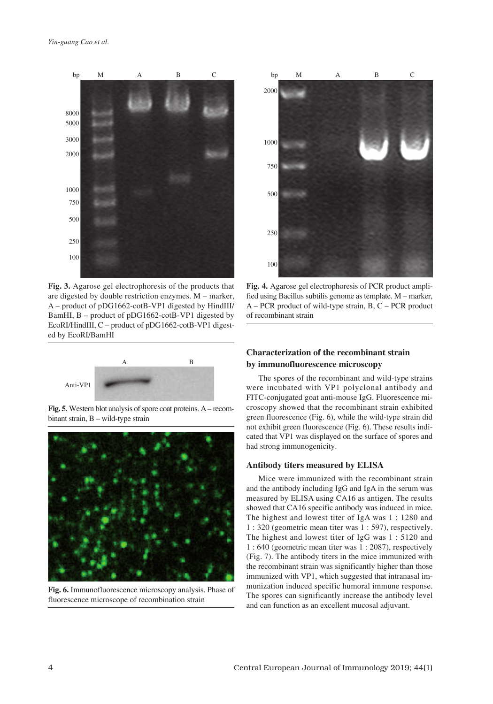

**Fig. 3.** Agarose gel electrophoresis of the products that are digested by double restriction enzymes. M – marker, A – product of pDG1662-cotB-VP1 digested by HindIII/ BamHI, B – product of pDG1662-cotB-VP1 digested by EcoRI/HindIII, C – product of pDG1662-cotB-VP1 digested by EcoRI/BamHI



**Fig. 5.** Western blot analysis of spore coat proteins. A– recombinant strain, B – wild-type strain



**Fig. 6.** Immunofluorescence microscopy analysis. Phase of fluorescence microscope of recombination strain



**Fig. 4.** Agarose gel electrophoresis of PCR product amplified using Bacillus subtilis genome as template. M – marker, A – PCR product of wild-type strain, B, C – PCR product of recombinant strain

# **Characterization of the recombinant strain by immunofluorescence microscopy**

The spores of the recombinant and wild-type strains were incubated with VP1 polyclonal antibody and FITC-conjugated goat anti-mouse IgG. Fluorescence microscopy showed that the recombinant strain exhibited green fluorescence (Fig. 6), while the wild-type strain did not exhibit green fluorescence (Fig. 6). These results indicated that VP1 was displayed on the surface of spores and had strong immunogenicity.

# **Antibody titers measured by ELISA**

Mice were immunized with the recombinant strain and the antibody including IgG and IgA in the serum was measured by ELISA using CA16 as antigen. The results showed that CA16 specific antibody was induced in mice. The highest and lowest titer of IgA was 1 : 1280 and 1 : 320 (geometric mean titer was 1 : 597), respectively. The highest and lowest titer of IgG was 1 : 5120 and 1 : 640 (geometric mean titer was 1 : 2087), respectively (Fig. 7). The antibody titers in the mice immunized with the recombinant strain was significantly higher than those immunized with VP1, which suggested that intranasal immunization induced specific humoral immune response. The spores can significantly increase the antibody level and can function as an excellent mucosal adjuvant.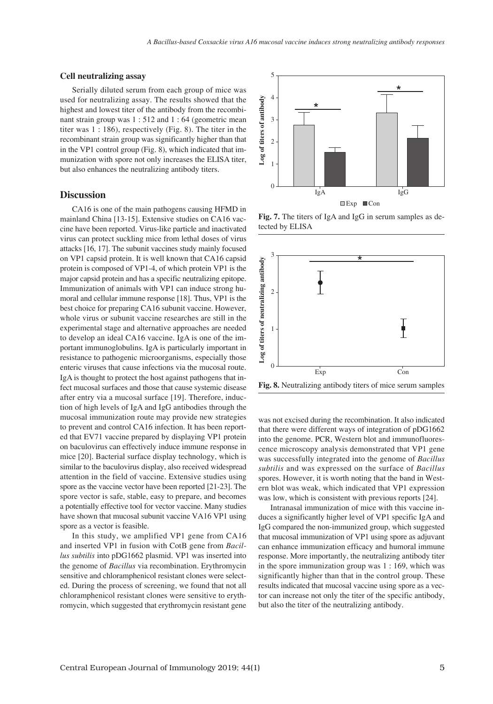## **Cell neutralizing assay**

Serially diluted serum from each group of mice was used for neutralizing assay. The results showed that the highest and lowest titer of the antibody from the recombinant strain group was 1 : 512 and 1 : 64 (geometric mean titer was 1 : 186), respectively (Fig. 8). The titer in the recombinant strain group was significantly higher than that in the VP1 control group (Fig. 8), which indicated that immunization with spore not only increases the ELISA titer, but also enhances the neutralizing antibody titers.

## **Discussion**

CA16 is one of the main pathogens causing HFMD in mainland China [13-15]. Extensive studies on CA16 vaccine have been reported. Virus-like particle and inactivated virus can protect suckling mice from lethal doses of virus attacks [16, 17]. The subunit vaccines study mainly focused on VP1 capsid protein. It is well known that CA16 capsid protein is composed of VP1-4, of which protein VP1 is the major capsid protein and has a specific neutralizing epitope. Immunization of animals with VP1 can induce strong humoral and cellular immune response [18]. Thus, VP1 is the best choice for preparing CA16 subunit vaccine. However, whole virus or subunit vaccine researches are still in the experimental stage and alternative approaches are needed to develop an ideal CA16 vaccine. IgA is one of the important immunoglobulins. IgA is particularly important in resistance to pathogenic microorganisms, especially those enteric viruses that cause infections via the mucosal route. IgA is thought to protect the host against pathogens that infect mucosal surfaces and those that cause systemic disease after entry via a mucosal surface [19]. Therefore, induction of high levels of IgA and IgG antibodies through the mucosal immunization route may provide new strategies to prevent and control CA16 infection. It has been reported that EV71 vaccine prepared by displaying VP1 protein on baculovirus can effectively induce immune response in mice [20]. Bacterial surface display technology, which is similar to the baculovirus display, also received widespread attention in the field of vaccine. Extensive studies using spore as the vaccine vector have been reported [21-23]. The spore vector is safe, stable, easy to prepare, and becomes a potentially effective tool for vector vaccine. Many studies have shown that mucosal subunit vaccine VA16 VP1 using spore as a vector is feasible.

In this study, we amplified VP1 gene from CA16 and inserted VP1 in fusion with CotB gene from *Bacillus subtilis* into pDG1662 plasmid. VP1 was inserted into the genome of *Bacillus* via recombination. Erythromycin sensitive and chloramphenicol resistant clones were selected. During the process of screening, we found that not all chloramphenicol resistant clones were sensitive to erythromycin, which suggested that erythromycin resistant gene



**Fig. 7.** The titers of IgA and IgG in serum samples as de-



was not excised during the recombination. It also indicated that there were different ways of integration of pDG1662 into the genome. PCR, Western blot and immunofluorescence microscopy analysis demonstrated that VP1 gene was successfully integrated into the genome of *Bacillus subtilis* and was expressed on the surface of *Bacillus* spores. However, it is worth noting that the band in Western blot was weak, which indicated that VP1 expression was low, which is consistent with previous reports [24].

Intranasal immunization of mice with this vaccine induces a significantly higher level of VP1 specific IgA and IgG compared the non-immunized group, which suggested that mucosal immunization of VP1 using spore as adjuvant can enhance immunization efficacy and humoral immune response. More importantly, the neutralizing antibody titer in the spore immunization group was 1 : 169, which was significantly higher than that in the control group. These results indicated that mucosal vaccine using spore as a vector can increase not only the titer of the specific antibody, but also the titer of the neutralizing antibody.